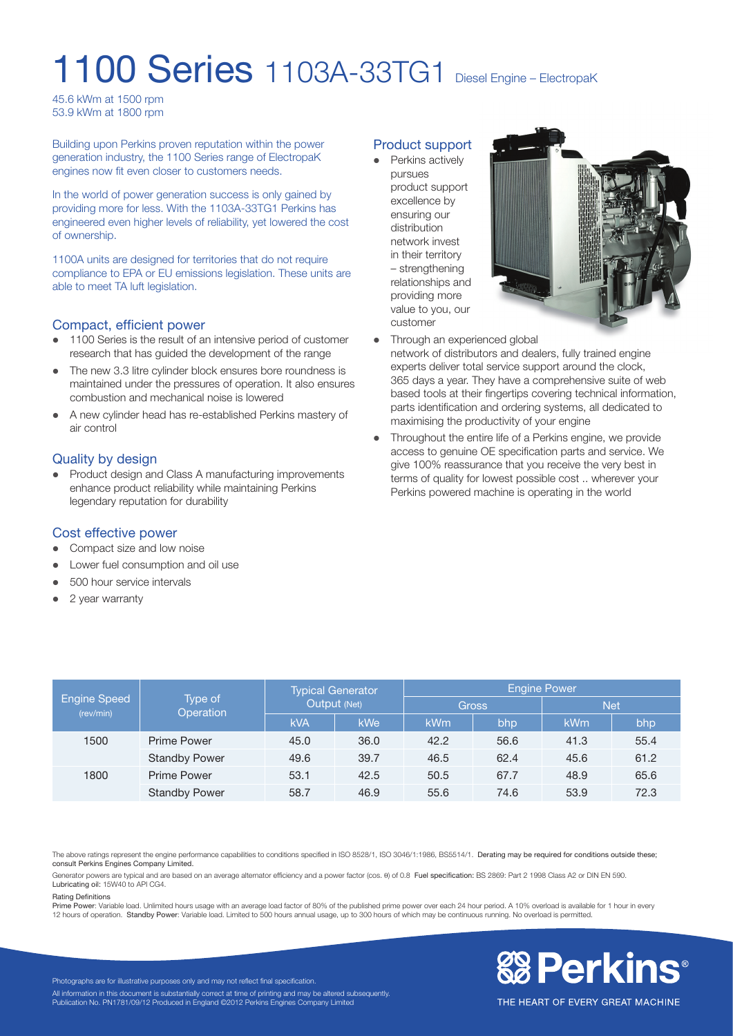# 1100 Series 1103A-33TG1 Diesel Engine – ElectropaK

45.6 kWm at 1500 rpm 53.9 kWm at 1800 rpm

Building upon Perkins proven reputation within the power generation industry, the 1100 Series range of ElectropaK engines now fit even closer to customers needs.

In the world of power generation success is only gained by providing more for less. With the 1103A-33TG1 Perkins has engineered even higher levels of reliability, yet lowered the cost of ownership.

1100A units are designed for territories that do not require compliance to EPA or EU emissions legislation. These units are able to meet TA luft legislation.

#### Compact, efficient power

- 1100 Series is the result of an intensive period of customer research that has guided the development of the range
- The new 3.3 litre cylinder block ensures bore roundness is maintained under the pressures of operation. It also ensures combustion and mechanical noise is lowered
- A new cylinder head has re-established Perkins mastery of air control

#### Quality by design

Product design and Class A manufacturing improvements enhance product reliability while maintaining Perkins legendary reputation for durability

#### Cost effective power

- Compact size and low noise
- Lower fuel consumption and oil use
- $\bullet$  500 hour service intervals
- $\bullet$  2 year warranty

#### Product support

• Perkins actively pursues product support excellence by ensuring our distribution network invest in their territory – strengthening relationships and providing more value to you, our customer



- Through an experienced global
- network of distributors and dealers, fully trained engine experts deliver total service support around the clock, 365 days a year. They have a comprehensive suite of web based tools at their fingertips covering technical information, parts identification and ordering systems, all dedicated to maximising the productivity of your engine
- Throughout the entire life of a Perkins engine, we provide access to genuine OE specification parts and service. We give 100% reassurance that you receive the very best in terms of quality for lowest possible cost .. wherever your Perkins powered machine is operating in the world

| Engine Speed<br>(rev/min) | Type of<br>Operation | <b>Typical Generator</b><br>Output (Net) |      | <b>Engine Power</b> |      |            |      |
|---------------------------|----------------------|------------------------------------------|------|---------------------|------|------------|------|
|                           |                      |                                          |      | <b>Gross</b>        |      | <b>Net</b> |      |
|                           |                      | <b>kVA</b>                               | kWe  | <b>kWm</b>          | bhp  | kWm        | bhp  |
| 1500                      | Prime Power          | 45.0                                     | 36.0 | 42.2                | 56.6 | 41.3       | 55.4 |
|                           | <b>Standby Power</b> | 49.6                                     | 39.7 | 46.5                | 62.4 | 45.6       | 61.2 |
| 1800                      | <b>Prime Power</b>   | 53.1                                     | 42.5 | 50.5                | 67.7 | 48.9       | 65.6 |
|                           | <b>Standby Power</b> | 58.7                                     | 46.9 | 55.6                | 74.6 | 53.9       | 72.3 |

The above ratings represent the engine performance capabilities to conditions specified in ISO 8528/1, ISO 3046/1:1986, BS5514/1. Derating may be required for conditions outside these; consult Perkins Engines Company Limited.

Generator powers are typical and are based on an average alternator efficiency and a power factor (cos.  $\theta$ ) of 0.8 Fuel specification: BS 2869: Part 2 1998 Class A2 or DIN EN 590. Lubricating oil: 15W40 to API CG4.

#### Rating Definitions

Prime Power: Variable load. Unlimited hours usage with an average load factor of 80% of the published prime power over each 24 hour period. A 10% overload is available for 1 hour in every<br>12 hours of operation. Standby Pow



Photographs are for illustrative purposes only and may not reflect final specification. All information in this document is substantially correct at time of printing and may be altered subsequently Publication No. PN1781/09/12 Produced in England ©2012 Perkins Engines Company Limited